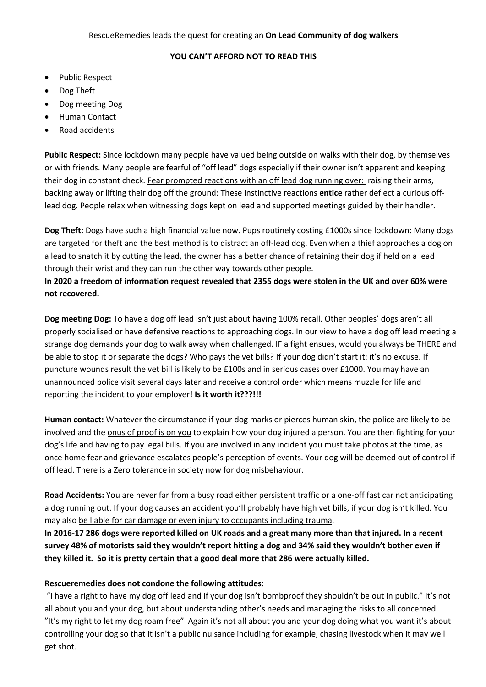## **YOU CAN'T AFFORD NOT TO READ THIS**

- Public Respect
- Dog Theft
- Dog meeting Dog
- Human Contact
- Road accidents

**Public Respect:** Since lockdown many people have valued being outside on walks with their dog, by themselves or with friends. Many people are fearful of "off lead" dogs especially if their owner isn't apparent and keeping their dog in constant check. Fear prompted reactions with an off lead dog running over: raising their arms, backing away or lifting their dog off the ground: These instinctive reactions **entice** rather deflect a curious offlead dog. People relax when witnessing dogs kept on lead and supported meetings guided by their handler.

**Dog Theft:** Dogs have such a high financial value now. Pups routinely costing £1000s since lockdown: Many dogs are targeted for theft and the best method is to distract an off-lead dog. Even when a thief approaches a dog on a lead to snatch it by cutting the lead, the owner has a better chance of retaining their dog if held on a lead through their wrist and they can run the other way towards other people.

**In 2020 a freedom of information request revealed that 2355 dogs were stolen in the UK and over 60% were not recovered.**

**Dog meeting Dog:** To have a dog off lead isn't just about having 100% recall. Other peoples' dogs aren't all properly socialised or have defensive reactions to approaching dogs. In our view to have a dog off lead meeting a strange dog demands your dog to walk away when challenged. IF a fight ensues, would you always be THERE and be able to stop it or separate the dogs? Who pays the vet bills? If your dog didn't start it: it's no excuse. If puncture wounds result the vet bill is likely to be £100s and in serious cases over £1000. You may have an unannounced police visit several days later and receive a control order which means muzzle for life and reporting the incident to your employer! **Is it worth it???!!!**

**Human contact:** Whatever the circumstance if your dog marks or pierces human skin, the police are likely to be involved and the onus of proof is on you to explain how your dog injured a person. You are then fighting for your dog's life and having to pay legal bills. If you are involved in any incident you must take photos at the time, as once home fear and grievance escalates people's perception of events. Your dog will be deemed out of control if off lead. There is a Zero tolerance in society now for dog misbehaviour.

**Road Accidents:** You are never far from a busy road either persistent traffic or a one-off fast car not anticipating a dog running out. If your dog causes an accident you'll probably have high vet bills, if your dog isn't killed. You may also be liable for car damage or even injury to occupants including trauma.

**In 2016-17 286 dogs were reported killed on UK roads and a great many more than that injured. In a recent survey 48% of motorists said they wouldn't report hitting a dog and 34% said they wouldn't bother even if they killed it. So it is pretty certain that a good deal more that 286 were actually killed.**

## **Rescueremedies does not condone the following attitudes:**

"I have a right to have my dog off lead and if your dog isn't bombproof they shouldn't be out in public." It's not all about you and your dog, but about understanding other's needs and managing the risks to all concerned. "It's my right to let my dog roam free" Again it's not all about you and your dog doing what you want it's about controlling your dog so that it isn't a public nuisance including for example, chasing livestock when it may well get shot.